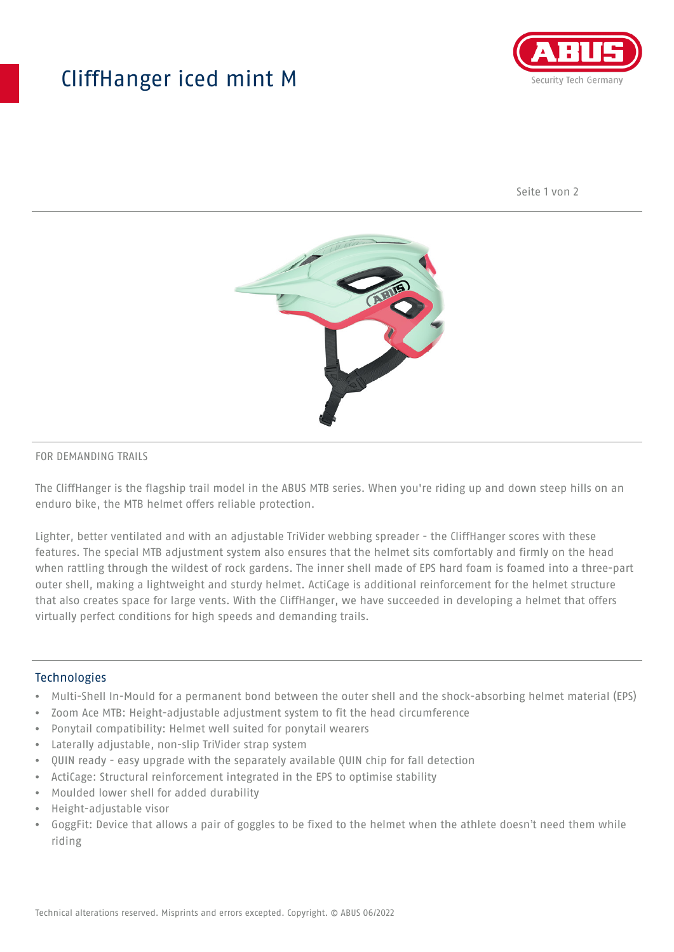## CliffHanger iced mint M



Seite 1 von 2



## FOR DEMANDING TRAILS

The CliffHanger is the flagship trail model in the ABUS MTB series. When you're riding up and down steep hills on an enduro bike, the MTB helmet offers reliable protection.

Lighter, better ventilated and with an adjustable TriVider webbing spreader - the CliffHanger scores with these features. The special MTB adjustment system also ensures that the helmet sits comfortably and firmly on the head when rattling through the wildest of rock gardens. The inner shell made of EPS hard foam is foamed into a three-part outer shell, making a lightweight and sturdy helmet. ActiCage is additional reinforcement for the helmet structure that also creates space for large vents. With the CliffHanger, we have succeeded in developing a helmet that offers virtually perfect conditions for high speeds and demanding trails.

## Technologies

- Multi-Shell In-Mould for a permanent bond between the outer shell and the shock-absorbing helmet material (EPS)
- Zoom Ace MTB: Height-adjustable adjustment system to fit the head circumference
- Ponytail compatibility: Helmet well suited for ponytail wearers
- Laterally adjustable, non-slip TriVider strap system
- QUIN ready easy upgrade with the separately available QUIN chip for fall detection
- ActiCage: Structural reinforcement integrated in the EPS to optimise stability
- Moulded lower shell for added durability
- Height-adjustable visor
- GoggFit: Device that allows a pair of goggles to be fixed to the helmet when the athlete doesn't need them while riding